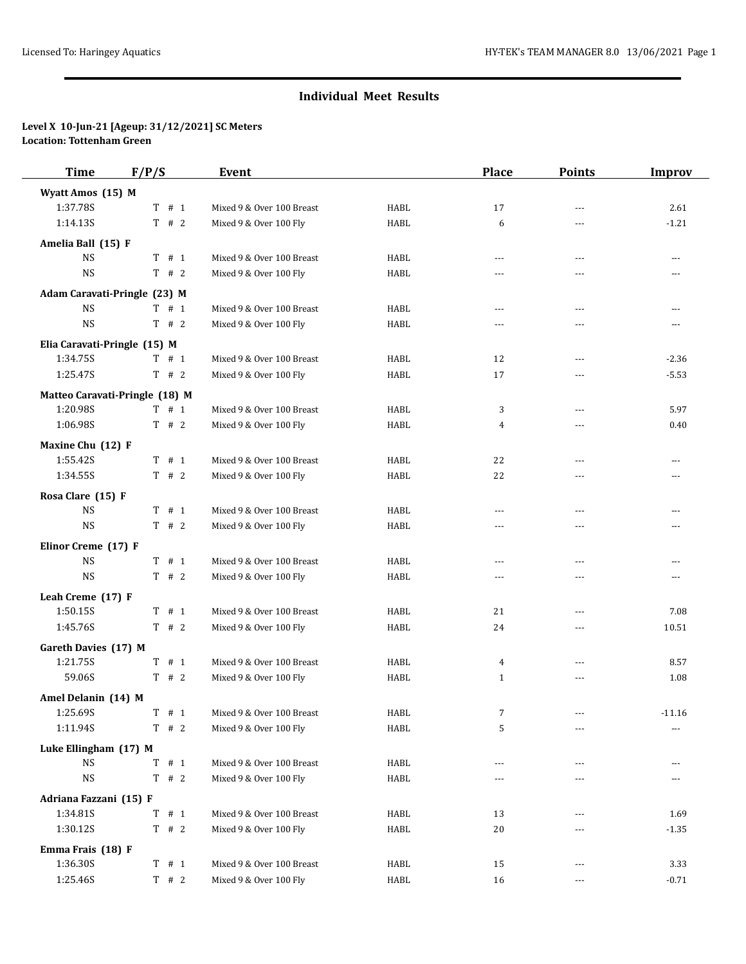# **Individual Meet Results**

### **Level X 10-Jun-21 [Ageup: 31/12/2021] SC Meters Location: Tottenham Green**

| Time                         | F/P/S                          | Event                     |             | <b>Place</b>   | <b>Points</b>  | <b>Improv</b>  |
|------------------------------|--------------------------------|---------------------------|-------------|----------------|----------------|----------------|
| Wyatt Amos (15) M            |                                |                           |             |                |                |                |
| 1:37.78S                     | $T$ # 1                        | Mixed 9 & Over 100 Breast | <b>HABL</b> | 17             | $\overline{a}$ | 2.61           |
| 1:14.13S                     | $T$ # 2                        | Mixed 9 & Over 100 Fly    | HABL        | 6              | ---            | $-1.21$        |
| Amelia Ball (15) F           |                                |                           |             |                |                |                |
| <b>NS</b>                    | T # 1                          | Mixed 9 & Over 100 Breast | <b>HABL</b> | $\overline{a}$ | ---            | ---            |
| <b>NS</b>                    | T # 2                          | Mixed 9 & Over 100 Fly    | <b>HABL</b> | ---            |                | $---$          |
| Adam Caravati-Pringle (23) M |                                |                           |             |                |                |                |
| <b>NS</b>                    | $T$ # 1                        | Mixed 9 & Over 100 Breast | HABL        | ---            | $\overline{a}$ | $---$          |
| <b>NS</b>                    | T # 2                          | Mixed 9 & Over 100 Fly    | HABL        | ---            | ---            | ---            |
| Elia Caravati-Pringle (15) M |                                |                           |             |                |                |                |
| 1:34.75S                     | $T$ # 1                        | Mixed 9 & Over 100 Breast | <b>HABL</b> | 12             | $\overline{a}$ | $-2.36$        |
| 1:25.47S                     | T # 2                          | Mixed 9 & Over 100 Fly    | <b>HABL</b> | 17             | ---            | $-5.53$        |
|                              | Matteo Caravati-Pringle (18) M |                           |             |                |                |                |
| 1:20.98S                     | $T$ # 1                        | Mixed 9 & Over 100 Breast | HABL        | 3              | ---            | 5.97           |
| 1:06.98S                     | $T$ # 2                        | Mixed 9 & Over 100 Fly    | HABL        | 4              | $---$          | 0.40           |
| Maxine Chu (12) F            |                                |                           |             |                |                |                |
| 1:55.42S                     | T # 1                          | Mixed 9 & Over 100 Breast | HABL        | 22             | $\overline{a}$ | $\overline{a}$ |
| 1:34.55S                     | $T$ # 2                        | Mixed 9 & Over 100 Fly    | HABL        | 22             | ---            | ---            |
| Rosa Clare (15) F            |                                |                           |             |                |                |                |
| <b>NS</b>                    | $T$ # 1                        | Mixed 9 & Over 100 Breast | <b>HABL</b> | ---            | ---            | ---            |
| <b>NS</b>                    | T # 2                          | Mixed 9 & Over 100 Fly    | HABL        | ---            | ---            | ---            |
| Elinor Creme (17) F          |                                |                           |             |                |                |                |
| <b>NS</b>                    | T # 1                          | Mixed 9 & Over 100 Breast | HABL        | ---            | ---            | ---            |
| <b>NS</b>                    | $T$ # 2                        | Mixed 9 & Over 100 Fly    | HABL        | $---$          | $---$          | ---            |
| Leah Creme (17) F            |                                |                           |             |                |                |                |
| 1:50.15S                     | $T$ # 1                        | Mixed 9 & Over 100 Breast | HABL        | 21             | $---$          | 7.08           |
| 1:45.76S                     | $T$ # 2                        | Mixed 9 & Over 100 Fly    | HABL        | 24             | ---            | 10.51          |
| Gareth Davies (17) M         |                                |                           |             |                |                |                |
| 1:21.75S                     | T # 1                          | Mixed 9 & Over 100 Breast | HABL        | 4              | $\overline{a}$ | 8.57           |
| 59.06S                       | $T$ # 2                        | Mixed 9 & Over 100 Fly    | <b>HABL</b> | $\mathbf{1}$   | $\cdots$       | 1.08           |
| Amel Delanin (14) M          |                                |                           |             |                |                |                |
| 1:25.69S                     | $T$ # 1                        | Mixed 9 & Over 100 Breast | HABL        | 7              | ---            | $-11.16$       |
| 1:11.94S                     | $T$ # 2                        | Mixed 9 & Over 100 Fly    | HABL        | 5              | ---            | $---$          |
| Luke Ellingham (17) M        |                                |                           |             |                |                |                |
| <b>NS</b>                    | T # 1                          | Mixed 9 & Over 100 Breast | HABL        | $---$          | $---$          | $---$          |
| $_{\rm NS}$                  | $T$ # 2                        | Mixed 9 & Over 100 Fly    | <b>HABL</b> | ---            |                |                |
| Adriana Fazzani (15) F       |                                |                           |             |                |                |                |
| 1:34.81S                     | $T$ # 1                        | Mixed 9 & Over 100 Breast | HABL        | 13             | ---            | 1.69           |
| 1:30.12S                     | $T$ # 2                        | Mixed 9 & Over 100 Fly    | HABL        | 20             | ---            | $-1.35$        |
| Emma Frais (18) F            |                                |                           |             |                |                |                |
| 1:36.30S                     | $T$ # 1                        | Mixed 9 & Over 100 Breast | HABL        | 15             | ---            | 3.33           |
| 1:25.46S                     | $T$ # 2                        | Mixed 9 & Over 100 Fly    | HABL        | 16             | $---$          | $-0.71$        |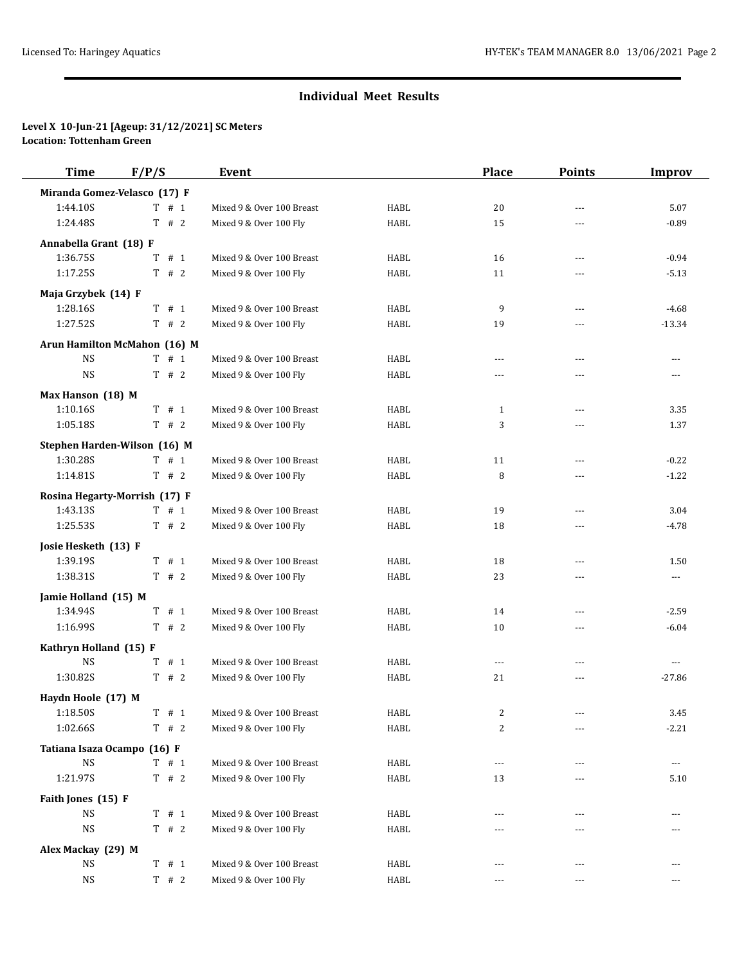# **Individual Meet Results**

### **Level X 10-Jun-21 [Ageup: 31/12/2021] SC Meters Location: Tottenham Green**

| <b>Time</b>                  | F/P/S                         | Event                     |             | <b>Place</b>   | <b>Points</b>  | <b>Improv</b> |
|------------------------------|-------------------------------|---------------------------|-------------|----------------|----------------|---------------|
| Miranda Gomez-Velasco (17) F |                               |                           |             |                |                |               |
| 1:44.10S                     | $T$ # 1                       | Mixed 9 & Over 100 Breast | <b>HABL</b> | 20             | $---$          | 5.07          |
| 1:24.48S                     | T # 2                         | Mixed 9 & Over 100 Fly    | <b>HABL</b> | 15             | ---            | $-0.89$       |
| Annabella Grant (18) F       |                               |                           |             |                |                |               |
| 1:36.75S                     | T # 1                         | Mixed 9 & Over 100 Breast | <b>HABL</b> | 16             | $\overline{a}$ | $-0.94$       |
| 1:17.25S                     | T # 2                         | Mixed 9 & Over 100 Fly    | <b>HABL</b> | 11             | ---            | $-5.13$       |
| Maja Grzybek (14) F          |                               |                           |             |                |                |               |
| 1:28.16S                     | T # 1                         | Mixed 9 & Over 100 Breast | HABL        | 9              | $---$          | $-4.68$       |
| 1:27.52S                     | $T$ # 2                       | Mixed 9 & Over 100 Fly    | <b>HABL</b> | 19             | ---            | $-13.34$      |
|                              | Arun Hamilton McMahon (16) M  |                           |             |                |                |               |
| <b>NS</b>                    | T # 1                         | Mixed 9 & Over 100 Breast | <b>HABL</b> | $\overline{a}$ | $---$          | $---$         |
| <b>NS</b>                    | T # 2                         | Mixed 9 & Over 100 Fly    | <b>HABL</b> | ---            | ---            | ---           |
| Max Hanson (18) M            |                               |                           |             |                |                |               |
| 1:10.16S                     | $T$ # 1                       | Mixed 9 & Over 100 Breast | <b>HABL</b> | $1\,$          |                | 3.35          |
| 1:05.18S                     | T # 2                         | Mixed 9 & Over 100 Fly    | <b>HABL</b> | 3              | ---            | 1.37          |
|                              | Stephen Harden-Wilson (16) M  |                           |             |                |                |               |
| 1:30.28S                     | $T$ # 1                       | Mixed 9 & Over 100 Breast | HABL        | 11             | $---$          | $-0.22$       |
| 1:14.81S                     | T # 2                         | Mixed 9 & Over 100 Fly    | <b>HABL</b> | 8              |                | $-1.22$       |
|                              | Rosina Hegarty-Morrish (17) F |                           |             |                |                |               |
| 1:43.135                     | T # 1                         | Mixed 9 & Over 100 Breast | HABL        | 19             | $- - -$        | 3.04          |
| 1:25.53S                     | T # 2                         | Mixed 9 & Over 100 Fly    | <b>HABL</b> | 18             | ---            | $-4.78$       |
| Josie Hesketh (13) F         |                               |                           |             |                |                |               |
| 1:39.19S                     | $T$ # 1                       | Mixed 9 & Over 100 Breast | <b>HABL</b> | 18             | $---$          | 1.50          |
| 1:38.31S                     | $T$ # 2                       | Mixed 9 & Over 100 Fly    | <b>HABL</b> | 23             | ---            | ---           |
| Jamie Holland (15) M         |                               |                           |             |                |                |               |
| 1:34.94S                     | $T$ # 1                       | Mixed 9 & Over 100 Breast | HABL        | 14             | ---            | $-2.59$       |
| 1:16.99S                     | $T$ # 2                       | Mixed 9 & Over 100 Fly    | <b>HABL</b> | 10             | ---            | $-6.04$       |
| Kathryn Holland (15) F       |                               |                           |             |                |                |               |
| <b>NS</b>                    | T # 1                         | Mixed 9 & Over 100 Breast | HABL        | $\cdots$       | $---$          | $---$         |
| 1:30.82S                     | $T$ # 2                       | Mixed 9 & Over 100 Fly    | HABL        | 21             | $\cdots$       | $-27.86$      |
| Haydn Hoole (17) M           |                               |                           |             |                |                |               |
| 1:18.50S                     | $T$ # 1                       | Mixed 9 & Over 100 Breast | HABL        | 2              | ---            | 3.45          |
| 1:02.66S                     | $T$ # 2                       | Mixed 9 & Over 100 Fly    | HABL        | $\overline{c}$ |                | $-2.21$       |
| Tatiana Isaza Ocampo (16) F  |                               |                           |             |                |                |               |
| <b>NS</b>                    | $T$ # 1                       | Mixed 9 & Over 100 Breast | HABL        | ---            | ---            | $\cdots$      |
| 1:21.97S                     | T # 2                         | Mixed 9 & Over 100 Fly    | <b>HABL</b> | 13             |                | 5.10          |
| Faith Jones (15) F           |                               |                           |             |                |                |               |
| <b>NS</b>                    | T # 1                         | Mixed 9 & Over 100 Breast | HABL        | $---$          | ---            | ---           |
| <b>NS</b>                    | T # 2                         | Mixed 9 & Over 100 Fly    | HABL        | ---            |                |               |
| Alex Mackay (29) M           |                               |                           |             |                |                |               |
| <b>NS</b>                    | T # 1                         | Mixed 9 & Over 100 Breast | HABL        | ---            | ---            | ---           |
| $\rm{NS}$                    | $T$ # 2                       | Mixed 9 & Over 100 Fly    | HABL        |                |                |               |